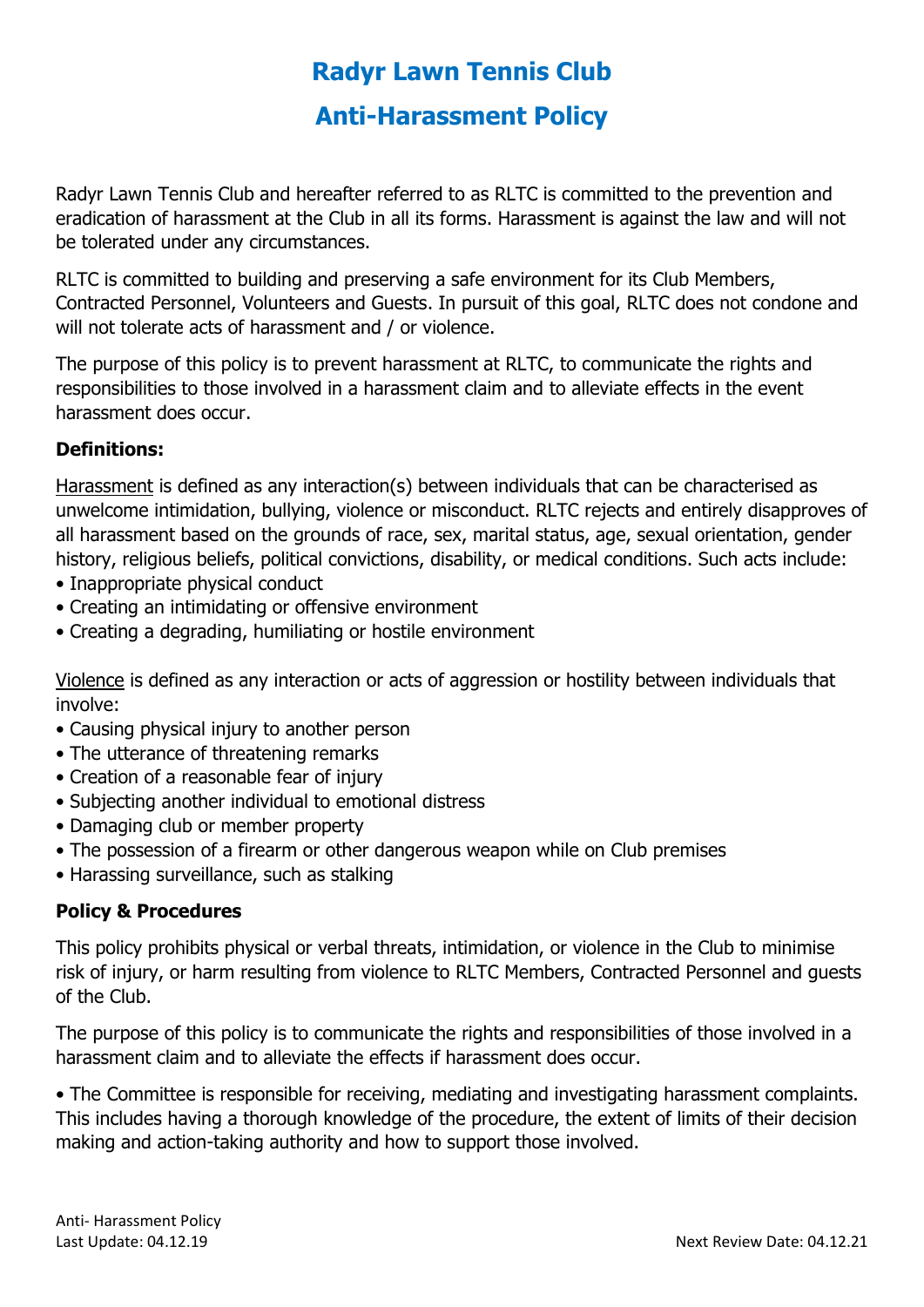## **Radyr Lawn Tennis Club Anti-Harassment Policy**

Radyr Lawn Tennis Club and hereafter referred to as RLTC is committed to the prevention and eradication of harassment at the Club in all its forms. Harassment is against the law and will not be tolerated under any circumstances.

RLTC is committed to building and preserving a safe environment for its Club Members, Contracted Personnel, Volunteers and Guests. In pursuit of this goal, RLTC does not condone and will not tolerate acts of harassment and / or violence.

The purpose of this policy is to prevent harassment at RLTC, to communicate the rights and responsibilities to those involved in a harassment claim and to alleviate effects in the event harassment does occur.

## **Definitions:**

Harassment is defined as any interaction(s) between individuals that can be characterised as unwelcome intimidation, bullying, violence or misconduct. RLTC rejects and entirely disapproves of all harassment based on the grounds of race, sex, marital status, age, sexual orientation, gender history, religious beliefs, political convictions, disability, or medical conditions. Such acts include:

- Inappropriate physical conduct
- Creating an intimidating or offensive environment
- Creating a degrading, humiliating or hostile environment

Violence is defined as any interaction or acts of aggression or hostility between individuals that involve:

- Causing physical injury to another person
- The utterance of threatening remarks
- Creation of a reasonable fear of injury
- Subjecting another individual to emotional distress
- Damaging club or member property
- The possession of a firearm or other dangerous weapon while on Club premises
- Harassing surveillance, such as stalking

## **Policy & Procedures**

This policy prohibits physical or verbal threats, intimidation, or violence in the Club to minimise risk of injury, or harm resulting from violence to RLTC Members, Contracted Personnel and guests of the Club.

The purpose of this policy is to communicate the rights and responsibilities of those involved in a harassment claim and to alleviate the effects if harassment does occur.

• The Committee is responsible for receiving, mediating and investigating harassment complaints. This includes having a thorough knowledge of the procedure, the extent of limits of their decision making and action-taking authority and how to support those involved.